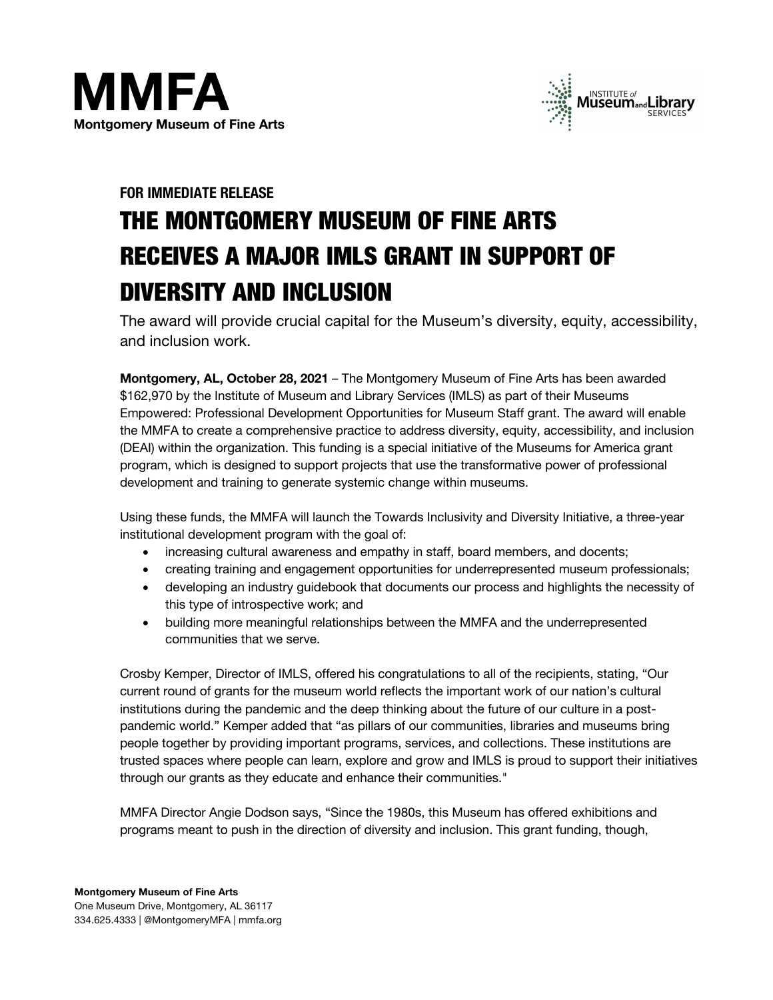



## **FOR IMMEDIATE RELEASE**

# THE MONTGOMERY MUSEUM OF FINE ARTS RECEIVES A MAJOR IMLS GRANT IN SUPPORT OF DIVERSITY AND INCLUSION

The award will provide crucial capital for the Museum's diversity, equity, accessibility, and inclusion work.

**Montgomery, AL, October 28, 2021** – The Montgomery Museum of Fine Arts has been awarded \$162,970 by the Institute of Museum and Library Services (IMLS) as part of their Museums Empowered: Professional Development Opportunities for Museum Staff grant. The award will enable the MMFA to create a comprehensive practice to address diversity, equity, accessibility, and inclusion (DEAI) within the organization. This funding is a special initiative of the Museums for America grant program, which is designed to support projects that use the transformative power of professional development and training to generate systemic change within museums.

Using these funds, the MMFA will launch the Towards Inclusivity and Diversity Initiative, a three-year institutional development program with the goal of:

- increasing cultural awareness and empathy in staff, board members, and docents;
- creating training and engagement opportunities for underrepresented museum professionals;
- developing an industry guidebook that documents our process and highlights the necessity of this type of introspective work; and
- building more meaningful relationships between the MMFA and the underrepresented communities that we serve.

Crosby Kemper, Director of IMLS, offered his congratulations to all of the recipients, stating, "Our current round of grants for the museum world reflects the important work of our nation's cultural institutions during the pandemic and the deep thinking about the future of our culture in a postpandemic world." Kemper added that "as pillars of our communities, libraries and museums bring people together by providing important programs, services, and collections. These institutions are trusted spaces where people can learn, explore and grow and IMLS is proud to support their initiatives through our grants as they educate and enhance their communities."

MMFA Director Angie Dodson says, "Since the 1980s, this Museum has offered exhibitions and programs meant to push in the direction of diversity and inclusion. This grant funding, though,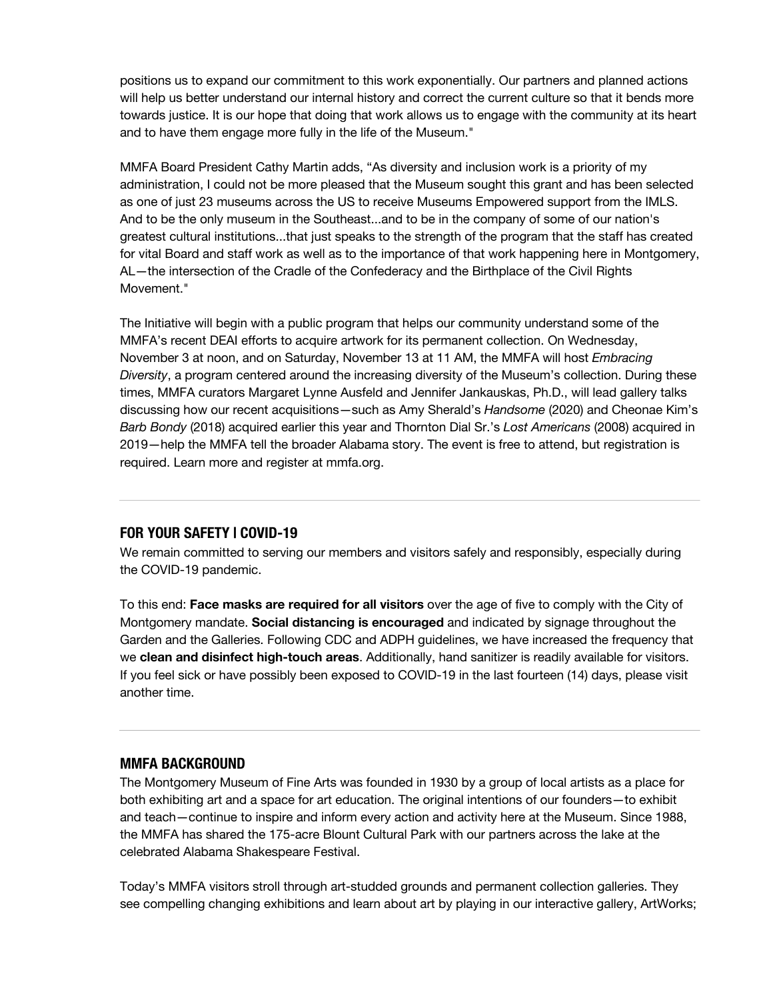positions us to expand our commitment to this work exponentially. Our partners and planned actions will help us better understand our internal history and correct the current culture so that it bends more towards justice. It is our hope that doing that work allows us to engage with the community at its heart and to have them engage more fully in the life of the Museum."

MMFA Board President Cathy Martin adds, "As diversity and inclusion work is a priority of my administration, I could not be more pleased that the Museum sought this grant and has been selected as one of just 23 museums across the US to receive Museums Empowered support from the IMLS. And to be the only museum in the Southeast...and to be in the company of some of our nation's greatest cultural institutions...that just speaks to the strength of the program that the staff has created for vital Board and staff work as well as to the importance of that work happening here in Montgomery, AL—the intersection of the Cradle of the Confederacy and the Birthplace of the Civil Rights Movement<sup>"</sup>

The Initiative will begin with a public program that helps our community understand some of the MMFA's recent DEAI efforts to acquire artwork for its permanent collection. On Wednesday, November 3 at noon, and on Saturday, November 13 at 11 AM, the MMFA will host *Embracing Diversity*, a program centered around the increasing diversity of the Museum's collection. During these times, MMFA curators Margaret Lynne Ausfeld and Jennifer Jankauskas, Ph.D., will lead gallery talks discussing how our recent acquisitions—such as Amy Sherald's *Handsome* (2020) and Cheonae Kim's *Barb Bondy* (2018) acquired earlier this year and Thornton Dial Sr.'s *Lost Americans* (2008) acquired in 2019—help the MMFA tell the broader Alabama story. The event is free to attend, but registration is required. Learn more and register at mmfa.org.

#### **FOR YOUR SAFETY | COVID-19**

We remain committed to serving our members and visitors safely and responsibly, especially during the COVID-19 pandemic.

To this end: **Face masks are required for all visitors** over the age of five to comply with the City of Montgomery mandate. **Social distancing is encouraged** and indicated by signage throughout the Garden and the Galleries. Following CDC and ADPH guidelines, we have increased the frequency that we **clean and disinfect high-touch areas**. Additionally, hand sanitizer is readily available for visitors. If you feel sick or have possibly been exposed to COVID-19 in the last fourteen (14) days, please visit another time.

#### **MMFA BACKGROUND**

The Montgomery Museum of Fine Arts was founded in 1930 by a group of local artists as a place for both exhibiting art and a space for art education. The original intentions of our founders—to exhibit and teach—continue to inspire and inform every action and activity here at the Museum. Since 1988, the MMFA has shared the 175-acre Blount Cultural Park with our partners across the lake at the celebrated Alabama Shakespeare Festival.

Today's MMFA visitors stroll through art-studded grounds and permanent collection galleries. They see compelling changing exhibitions and learn about art by playing in our interactive gallery, ArtWorks;